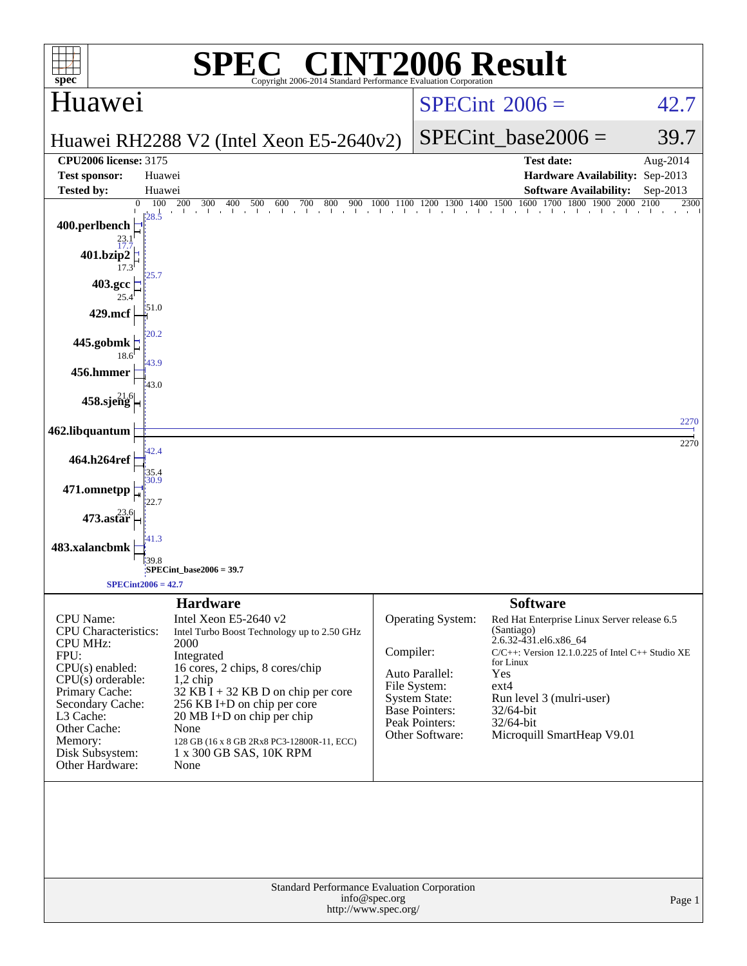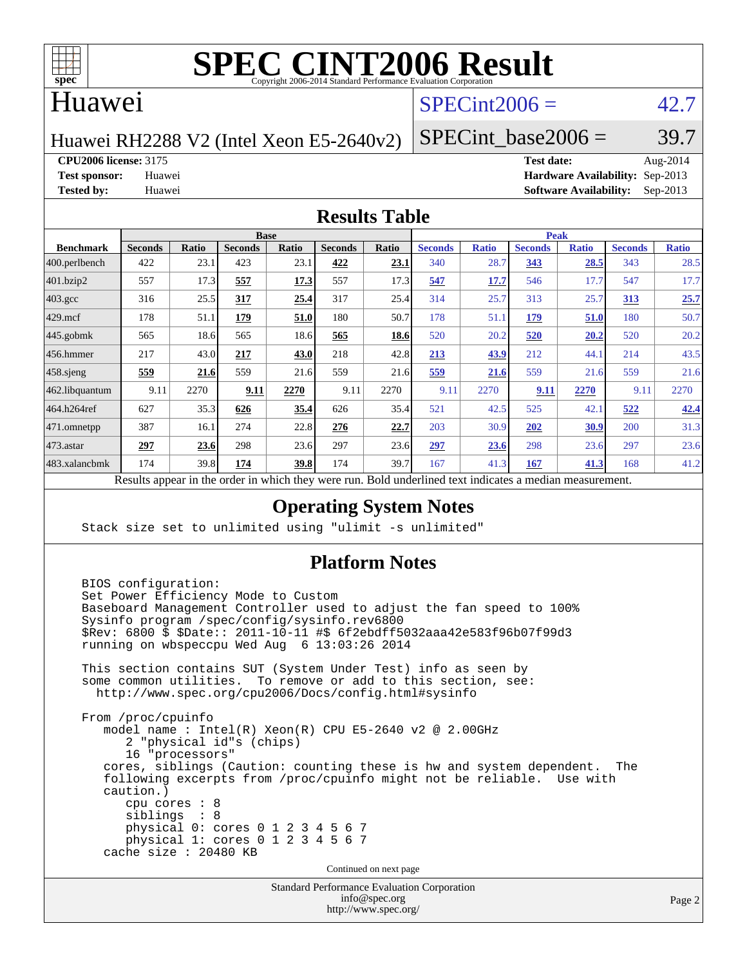

#### Huawei

### $SPECint2006 = 42.7$  $SPECint2006 = 42.7$

Huawei RH2288 V2 (Intel Xeon E5-2640v2)

SPECint base2006 =  $39.7$ 

**[CPU2006 license:](http://www.spec.org/auto/cpu2006/Docs/result-fields.html#CPU2006license)** 3175 **[Test date:](http://www.spec.org/auto/cpu2006/Docs/result-fields.html#Testdate)** Aug-2014

**[Test sponsor:](http://www.spec.org/auto/cpu2006/Docs/result-fields.html#Testsponsor)** Huawei **[Hardware Availability:](http://www.spec.org/auto/cpu2006/Docs/result-fields.html#HardwareAvailability)** Sep-2013 **[Tested by:](http://www.spec.org/auto/cpu2006/Docs/result-fields.html#Testedby)** Huawei **[Software Availability:](http://www.spec.org/auto/cpu2006/Docs/result-fields.html#SoftwareAvailability)** Sep-2013

#### **[Results Table](http://www.spec.org/auto/cpu2006/Docs/result-fields.html#ResultsTable)**

|                   | <b>Base</b>                                                                                                     |              |                |              |                |       | <b>Peak</b>    |              |                |              |                |              |
|-------------------|-----------------------------------------------------------------------------------------------------------------|--------------|----------------|--------------|----------------|-------|----------------|--------------|----------------|--------------|----------------|--------------|
| <b>Benchmark</b>  | <b>Seconds</b>                                                                                                  | <b>Ratio</b> | <b>Seconds</b> | <b>Ratio</b> | <b>Seconds</b> | Ratio | <b>Seconds</b> | <b>Ratio</b> | <b>Seconds</b> | <b>Ratio</b> | <b>Seconds</b> | <b>Ratio</b> |
| $ 400$ .perlbench | 422                                                                                                             | 23.1         | 423            | 23.1         | 422            | 23.1  | 340            | 28.7         | 343            | 28.5         | 343            | 28.5         |
| 401.bzip2         | 557                                                                                                             | 17.3         | 557            | 17.3         | 557            | 17.3  | 547            | 17.7         | 546            | 17.7         | 547            | 17.7         |
| 403.gcc           | 316                                                                                                             | 25.5         | 317            | 25.4         | 317            | 25.4  | 314            | 25.7         | 313            | 25.7         | <u>313</u>     | 25.7         |
| $429$ .mcf        | 178                                                                                                             | 51.1         | 179            | 51.0         | 180            | 50.7  | 178            | 51.1         | 179            | 51.0         | 180            | 50.7         |
| $445$ .gobmk      | 565                                                                                                             | 18.6         | 565            | 18.6         | 565            | 18.6  | 520            | 20.2         | 520            | 20.2         | 520            | 20.2         |
| $ 456$ .hmmer     | 217                                                                                                             | 43.0         | 217            | 43.0         | 218            | 42.8  | 213            | 43.9         | 212            | 44.1         | 214            | 43.5         |
| $458$ .sjeng      | 559                                                                                                             | 21.6         | 559            | 21.6         | 559            | 21.6  | 559            | 21.6         | 559            | 21.6         | 559            | 21.6         |
| 462.libquantum    | 9.11                                                                                                            | 2270         | 9.11           | 2270         | 9.11           | 2270  | 9.11           | 2270         | 9.11           | 2270         | 9.11           | 2270         |
| 464.h264ref       | 627                                                                                                             | 35.3         | 626            | 35.4         | 626            | 35.4  | 521            | 42.5         | 525            | 42.1         | 522            | 42.4         |
| 471.omnetpp       | 387                                                                                                             | 16.1         | 274            | 22.8         | 276            | 22.7  | 203            | 30.9         | 202            | 30.9         | 200            | 31.3         |
| $473$ . astar     | 297                                                                                                             | 23.6         | 298            | 23.6         | 297            | 23.6  | 297            | 23.6         | 298            | 23.6         | 297            | 23.6         |
| 483.xalancbmk     | 174                                                                                                             | 39.8         | 174            | 39.8         | 174            | 39.7  | 167            | 41.3         | 167            | 41.3         | 168            | 41.2         |
|                   | <b>Dold</b> underlined tout indicates a modian measurement<br>Decute ennear in the order in which thay were min |              |                |              |                |       |                |              |                |              |                |              |

Results appear in the [order in which they were run.](http://www.spec.org/auto/cpu2006/Docs/result-fields.html#RunOrder) Bold underlined text [indicates a median measurement.](http://www.spec.org/auto/cpu2006/Docs/result-fields.html#Median)

#### **[Operating System Notes](http://www.spec.org/auto/cpu2006/Docs/result-fields.html#OperatingSystemNotes)**

Stack size set to unlimited using "ulimit -s unlimited"

#### **[Platform Notes](http://www.spec.org/auto/cpu2006/Docs/result-fields.html#PlatformNotes)**

Standard Performance Evaluation Corporation BIOS configuration: Set Power Efficiency Mode to Custom Baseboard Management Controller used to adjust the fan speed to 100% Sysinfo program /spec/config/sysinfo.rev6800 \$Rev: 6800 \$ \$Date:: 2011-10-11 #\$ 6f2ebdff5032aaa42e583f96b07f99d3 running on wbspeccpu Wed Aug 6 13:03:26 2014 This section contains SUT (System Under Test) info as seen by some common utilities. To remove or add to this section, see: <http://www.spec.org/cpu2006/Docs/config.html#sysinfo> From /proc/cpuinfo model name : Intel(R) Xeon(R) CPU E5-2640 v2 @ 2.00GHz 2 "physical id"s (chips) 16 "processors" cores, siblings (Caution: counting these is hw and system dependent. The following excerpts from /proc/cpuinfo might not be reliable. Use with caution.) cpu cores : 8 siblings : 8 physical 0: cores 0 1 2 3 4 5 6 7 physical 1: cores 0 1 2 3 4 5 6 7 cache size : 20480 KB Continued on next page

[info@spec.org](mailto:info@spec.org) <http://www.spec.org/>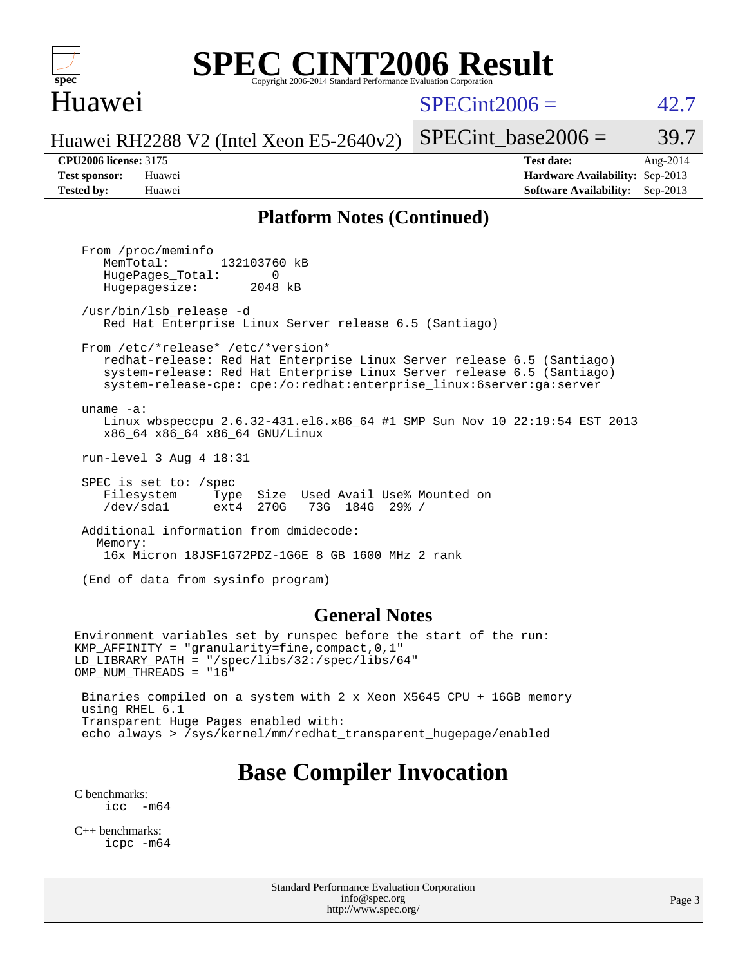

#### Huawei

 $SPECint2006 = 42.7$  $SPECint2006 = 42.7$ 

Huawei RH2288 V2 (Intel Xeon E5-2640v2)

SPECint base2006 =  $39.7$ 

**[CPU2006 license:](http://www.spec.org/auto/cpu2006/Docs/result-fields.html#CPU2006license)** 3175 **[Test date:](http://www.spec.org/auto/cpu2006/Docs/result-fields.html#Testdate)** Aug-2014 **[Test sponsor:](http://www.spec.org/auto/cpu2006/Docs/result-fields.html#Testsponsor)** Huawei **[Hardware Availability:](http://www.spec.org/auto/cpu2006/Docs/result-fields.html#HardwareAvailability)** Sep-2013 **[Tested by:](http://www.spec.org/auto/cpu2006/Docs/result-fields.html#Testedby)** Huawei **[Software Availability:](http://www.spec.org/auto/cpu2006/Docs/result-fields.html#SoftwareAvailability)** Sep-2013

#### **[Platform Notes \(Continued\)](http://www.spec.org/auto/cpu2006/Docs/result-fields.html#PlatformNotes)**

 From /proc/meminfo MemTotal: 132103760 kB HugePages\_Total: 0<br>Hugepagesize: 2048 kB Hugepagesize: /usr/bin/lsb\_release -d Red Hat Enterprise Linux Server release 6.5 (Santiago) From /etc/\*release\* /etc/\*version\* redhat-release: Red Hat Enterprise Linux Server release 6.5 (Santiago) system-release: Red Hat Enterprise Linux Server release 6.5 (Santiago) system-release-cpe: cpe:/o:redhat:enterprise\_linux:6server:ga:server uname -a: Linux wbspeccpu 2.6.32-431.el6.x86\_64 #1 SMP Sun Nov 10 22:19:54 EST 2013 x86\_64 x86\_64 x86\_64 GNU/Linux run-level 3 Aug 4 18:31 SPEC is set to: /spec Filesystem Type Size Used Avail Use% Mounted on<br>
/dev/sdal ext4 270G 73G 184G 29% / /dev/sda1 ext4 270G 73G 184G 29% / Additional information from dmidecode: Memory: 16x Micron 18JSF1G72PDZ-1G6E 8 GB 1600 MHz 2 rank (End of data from sysinfo program)

#### **[General Notes](http://www.spec.org/auto/cpu2006/Docs/result-fields.html#GeneralNotes)**

Environment variables set by runspec before the start of the run: KMP\_AFFINITY = "granularity=fine,compact,0,1" LD\_LIBRARY\_PATH = "/spec/libs/32:/spec/libs/64" OMP\_NUM\_THREADS = "16" Binaries compiled on a system with 2 x Xeon X5645 CPU + 16GB memory using RHEL 6.1

 Transparent Huge Pages enabled with: echo always > /sys/kernel/mm/redhat\_transparent\_hugepage/enabled

## **[Base Compiler Invocation](http://www.spec.org/auto/cpu2006/Docs/result-fields.html#BaseCompilerInvocation)**

[C benchmarks](http://www.spec.org/auto/cpu2006/Docs/result-fields.html#Cbenchmarks):  $\text{icc}$   $-\text{m64}$ 

[C++ benchmarks:](http://www.spec.org/auto/cpu2006/Docs/result-fields.html#CXXbenchmarks) [icpc -m64](http://www.spec.org/cpu2006/results/res2014q3/cpu2006-20140811-30880.flags.html#user_CXXbase_intel_icpc_64bit_fc66a5337ce925472a5c54ad6a0de310)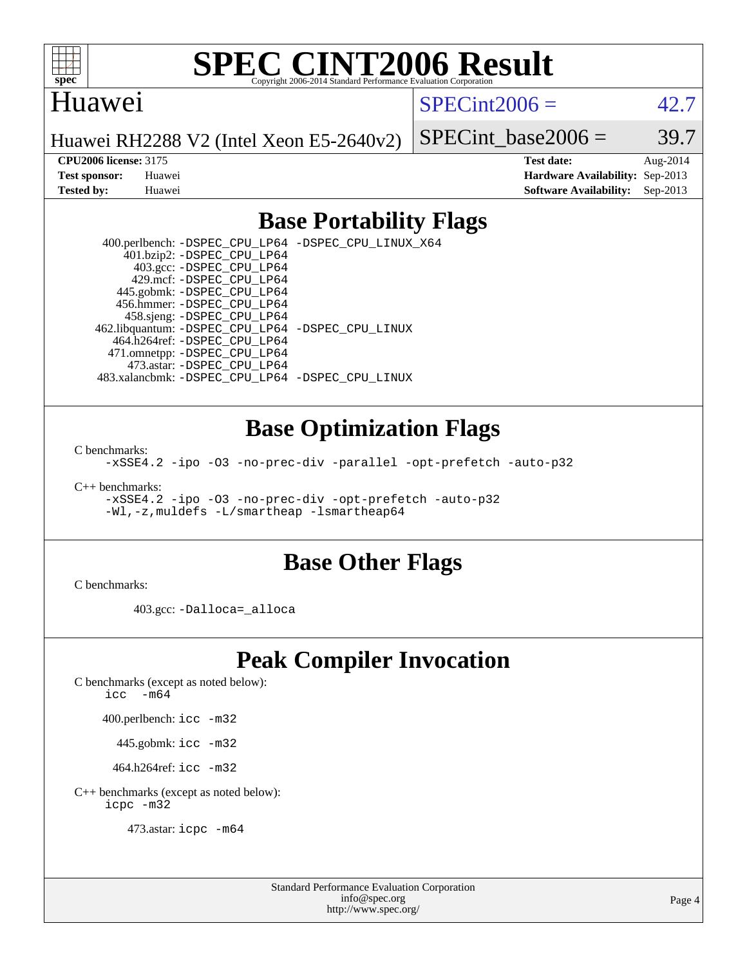

#### Huawei

 $SPECint2006 = 42.7$  $SPECint2006 = 42.7$ 

Huawei RH2288 V2 (Intel Xeon E5-2640v2)

SPECint base2006 =  $39.7$ 

**[CPU2006 license:](http://www.spec.org/auto/cpu2006/Docs/result-fields.html#CPU2006license)** 3175 **[Test date:](http://www.spec.org/auto/cpu2006/Docs/result-fields.html#Testdate)** Aug-2014 **[Test sponsor:](http://www.spec.org/auto/cpu2006/Docs/result-fields.html#Testsponsor)** Huawei **[Hardware Availability:](http://www.spec.org/auto/cpu2006/Docs/result-fields.html#HardwareAvailability)** Sep-2013 **[Tested by:](http://www.spec.org/auto/cpu2006/Docs/result-fields.html#Testedby)** Huawei **[Software Availability:](http://www.spec.org/auto/cpu2006/Docs/result-fields.html#SoftwareAvailability)** Sep-2013

#### **[Base Portability Flags](http://www.spec.org/auto/cpu2006/Docs/result-fields.html#BasePortabilityFlags)**

 400.perlbench: [-DSPEC\\_CPU\\_LP64](http://www.spec.org/cpu2006/results/res2014q3/cpu2006-20140811-30880.flags.html#b400.perlbench_basePORTABILITY_DSPEC_CPU_LP64) [-DSPEC\\_CPU\\_LINUX\\_X64](http://www.spec.org/cpu2006/results/res2014q3/cpu2006-20140811-30880.flags.html#b400.perlbench_baseCPORTABILITY_DSPEC_CPU_LINUX_X64) 401.bzip2: [-DSPEC\\_CPU\\_LP64](http://www.spec.org/cpu2006/results/res2014q3/cpu2006-20140811-30880.flags.html#suite_basePORTABILITY401_bzip2_DSPEC_CPU_LP64) 403.gcc: [-DSPEC\\_CPU\\_LP64](http://www.spec.org/cpu2006/results/res2014q3/cpu2006-20140811-30880.flags.html#suite_basePORTABILITY403_gcc_DSPEC_CPU_LP64) 429.mcf: [-DSPEC\\_CPU\\_LP64](http://www.spec.org/cpu2006/results/res2014q3/cpu2006-20140811-30880.flags.html#suite_basePORTABILITY429_mcf_DSPEC_CPU_LP64) 445.gobmk: [-DSPEC\\_CPU\\_LP64](http://www.spec.org/cpu2006/results/res2014q3/cpu2006-20140811-30880.flags.html#suite_basePORTABILITY445_gobmk_DSPEC_CPU_LP64) 456.hmmer: [-DSPEC\\_CPU\\_LP64](http://www.spec.org/cpu2006/results/res2014q3/cpu2006-20140811-30880.flags.html#suite_basePORTABILITY456_hmmer_DSPEC_CPU_LP64) 458.sjeng: [-DSPEC\\_CPU\\_LP64](http://www.spec.org/cpu2006/results/res2014q3/cpu2006-20140811-30880.flags.html#suite_basePORTABILITY458_sjeng_DSPEC_CPU_LP64) 462.libquantum: [-DSPEC\\_CPU\\_LP64](http://www.spec.org/cpu2006/results/res2014q3/cpu2006-20140811-30880.flags.html#suite_basePORTABILITY462_libquantum_DSPEC_CPU_LP64) [-DSPEC\\_CPU\\_LINUX](http://www.spec.org/cpu2006/results/res2014q3/cpu2006-20140811-30880.flags.html#b462.libquantum_baseCPORTABILITY_DSPEC_CPU_LINUX) 464.h264ref: [-DSPEC\\_CPU\\_LP64](http://www.spec.org/cpu2006/results/res2014q3/cpu2006-20140811-30880.flags.html#suite_basePORTABILITY464_h264ref_DSPEC_CPU_LP64) 471.omnetpp: [-DSPEC\\_CPU\\_LP64](http://www.spec.org/cpu2006/results/res2014q3/cpu2006-20140811-30880.flags.html#suite_basePORTABILITY471_omnetpp_DSPEC_CPU_LP64) 473.astar: [-DSPEC\\_CPU\\_LP64](http://www.spec.org/cpu2006/results/res2014q3/cpu2006-20140811-30880.flags.html#suite_basePORTABILITY473_astar_DSPEC_CPU_LP64) 483.xalancbmk: [-DSPEC\\_CPU\\_LP64](http://www.spec.org/cpu2006/results/res2014q3/cpu2006-20140811-30880.flags.html#suite_basePORTABILITY483_xalancbmk_DSPEC_CPU_LP64) [-DSPEC\\_CPU\\_LINUX](http://www.spec.org/cpu2006/results/res2014q3/cpu2006-20140811-30880.flags.html#b483.xalancbmk_baseCXXPORTABILITY_DSPEC_CPU_LINUX)

#### **[Base Optimization Flags](http://www.spec.org/auto/cpu2006/Docs/result-fields.html#BaseOptimizationFlags)**

[C benchmarks](http://www.spec.org/auto/cpu2006/Docs/result-fields.html#Cbenchmarks):

[-xSSE4.2](http://www.spec.org/cpu2006/results/res2014q3/cpu2006-20140811-30880.flags.html#user_CCbase_f-xSSE42_f91528193cf0b216347adb8b939d4107) [-ipo](http://www.spec.org/cpu2006/results/res2014q3/cpu2006-20140811-30880.flags.html#user_CCbase_f-ipo) [-O3](http://www.spec.org/cpu2006/results/res2014q3/cpu2006-20140811-30880.flags.html#user_CCbase_f-O3) [-no-prec-div](http://www.spec.org/cpu2006/results/res2014q3/cpu2006-20140811-30880.flags.html#user_CCbase_f-no-prec-div) [-parallel](http://www.spec.org/cpu2006/results/res2014q3/cpu2006-20140811-30880.flags.html#user_CCbase_f-parallel) [-opt-prefetch](http://www.spec.org/cpu2006/results/res2014q3/cpu2006-20140811-30880.flags.html#user_CCbase_f-opt-prefetch) [-auto-p32](http://www.spec.org/cpu2006/results/res2014q3/cpu2006-20140811-30880.flags.html#user_CCbase_f-auto-p32)

[C++ benchmarks:](http://www.spec.org/auto/cpu2006/Docs/result-fields.html#CXXbenchmarks)

[-xSSE4.2](http://www.spec.org/cpu2006/results/res2014q3/cpu2006-20140811-30880.flags.html#user_CXXbase_f-xSSE42_f91528193cf0b216347adb8b939d4107) [-ipo](http://www.spec.org/cpu2006/results/res2014q3/cpu2006-20140811-30880.flags.html#user_CXXbase_f-ipo) [-O3](http://www.spec.org/cpu2006/results/res2014q3/cpu2006-20140811-30880.flags.html#user_CXXbase_f-O3) [-no-prec-div](http://www.spec.org/cpu2006/results/res2014q3/cpu2006-20140811-30880.flags.html#user_CXXbase_f-no-prec-div) [-opt-prefetch](http://www.spec.org/cpu2006/results/res2014q3/cpu2006-20140811-30880.flags.html#user_CXXbase_f-opt-prefetch) [-auto-p32](http://www.spec.org/cpu2006/results/res2014q3/cpu2006-20140811-30880.flags.html#user_CXXbase_f-auto-p32) [-Wl,-z,muldefs](http://www.spec.org/cpu2006/results/res2014q3/cpu2006-20140811-30880.flags.html#user_CXXbase_link_force_multiple1_74079c344b956b9658436fd1b6dd3a8a) [-L/smartheap -lsmartheap64](http://www.spec.org/cpu2006/results/res2014q3/cpu2006-20140811-30880.flags.html#user_CXXbase_SmartHeap64_5e654037dadeae1fe403ab4b4466e60b)

#### **[Base Other Flags](http://www.spec.org/auto/cpu2006/Docs/result-fields.html#BaseOtherFlags)**

[C benchmarks](http://www.spec.org/auto/cpu2006/Docs/result-fields.html#Cbenchmarks):

403.gcc: [-Dalloca=\\_alloca](http://www.spec.org/cpu2006/results/res2014q3/cpu2006-20140811-30880.flags.html#b403.gcc_baseEXTRA_CFLAGS_Dalloca_be3056838c12de2578596ca5467af7f3)

## **[Peak Compiler Invocation](http://www.spec.org/auto/cpu2006/Docs/result-fields.html#PeakCompilerInvocation)**

[C benchmarks \(except as noted below\)](http://www.spec.org/auto/cpu2006/Docs/result-fields.html#Cbenchmarksexceptasnotedbelow):

[icc -m64](http://www.spec.org/cpu2006/results/res2014q3/cpu2006-20140811-30880.flags.html#user_CCpeak_intel_icc_64bit_f346026e86af2a669e726fe758c88044)

400.perlbench: [icc -m32](http://www.spec.org/cpu2006/results/res2014q3/cpu2006-20140811-30880.flags.html#user_peakCCLD400_perlbench_intel_icc_a6a621f8d50482236b970c6ac5f55f93)

445.gobmk: [icc -m32](http://www.spec.org/cpu2006/results/res2014q3/cpu2006-20140811-30880.flags.html#user_peakCCLD445_gobmk_intel_icc_a6a621f8d50482236b970c6ac5f55f93)

464.h264ref: [icc -m32](http://www.spec.org/cpu2006/results/res2014q3/cpu2006-20140811-30880.flags.html#user_peakCCLD464_h264ref_intel_icc_a6a621f8d50482236b970c6ac5f55f93)

[C++ benchmarks \(except as noted below\):](http://www.spec.org/auto/cpu2006/Docs/result-fields.html#CXXbenchmarksexceptasnotedbelow) [icpc -m32](http://www.spec.org/cpu2006/results/res2014q3/cpu2006-20140811-30880.flags.html#user_CXXpeak_intel_icpc_4e5a5ef1a53fd332b3c49e69c3330699)

473.astar: [icpc -m64](http://www.spec.org/cpu2006/results/res2014q3/cpu2006-20140811-30880.flags.html#user_peakCXXLD473_astar_intel_icpc_64bit_fc66a5337ce925472a5c54ad6a0de310)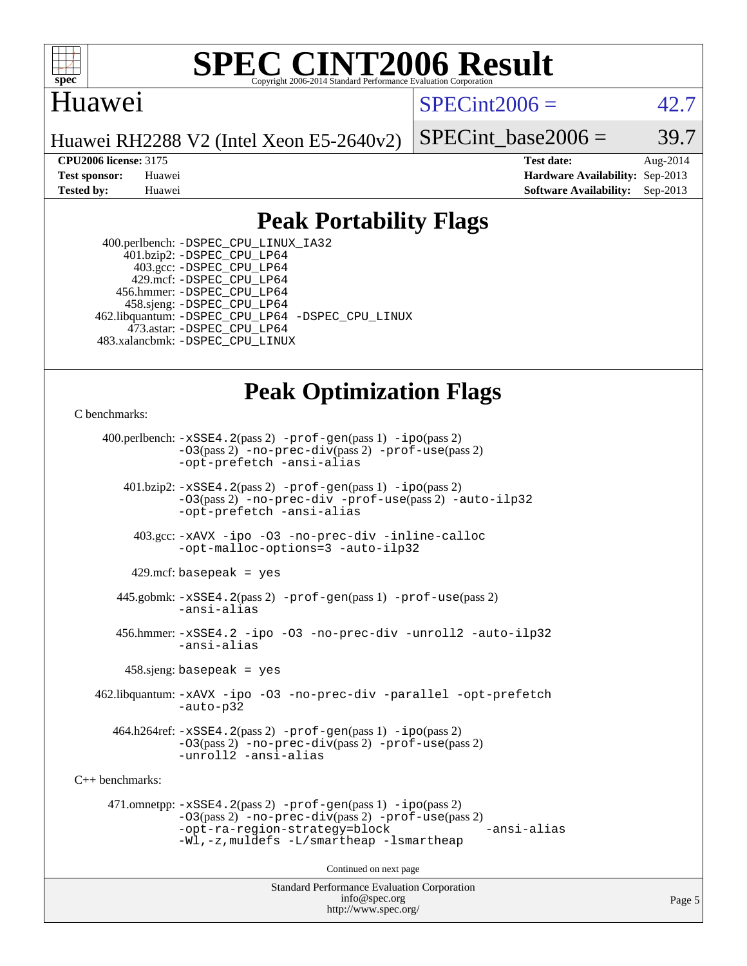

#### **[SPEC CINT2006 Result](http://www.spec.org/auto/cpu2006/Docs/result-fields.html#SPECCINT2006Result)** Copyright 2006-2014 Standard Performance Evaluation C

#### Huawei

 $SPECint2006 = 42.7$  $SPECint2006 = 42.7$ 

Huawei RH2288 V2 (Intel Xeon E5-2640v2)

SPECint base2006 =  $39.7$ 

**[CPU2006 license:](http://www.spec.org/auto/cpu2006/Docs/result-fields.html#CPU2006license)** 3175 **[Test date:](http://www.spec.org/auto/cpu2006/Docs/result-fields.html#Testdate)** Aug-2014 **[Test sponsor:](http://www.spec.org/auto/cpu2006/Docs/result-fields.html#Testsponsor)** Huawei **[Hardware Availability:](http://www.spec.org/auto/cpu2006/Docs/result-fields.html#HardwareAvailability)** Sep-2013 **[Tested by:](http://www.spec.org/auto/cpu2006/Docs/result-fields.html#Testedby)** Huawei **[Software Availability:](http://www.spec.org/auto/cpu2006/Docs/result-fields.html#SoftwareAvailability)** Sep-2013

### **[Peak Portability Flags](http://www.spec.org/auto/cpu2006/Docs/result-fields.html#PeakPortabilityFlags)**

 400.perlbench: [-DSPEC\\_CPU\\_LINUX\\_IA32](http://www.spec.org/cpu2006/results/res2014q3/cpu2006-20140811-30880.flags.html#b400.perlbench_peakCPORTABILITY_DSPEC_CPU_LINUX_IA32) 401.bzip2: [-DSPEC\\_CPU\\_LP64](http://www.spec.org/cpu2006/results/res2014q3/cpu2006-20140811-30880.flags.html#suite_peakPORTABILITY401_bzip2_DSPEC_CPU_LP64) 403.gcc: [-DSPEC\\_CPU\\_LP64](http://www.spec.org/cpu2006/results/res2014q3/cpu2006-20140811-30880.flags.html#suite_peakPORTABILITY403_gcc_DSPEC_CPU_LP64) 429.mcf: [-DSPEC\\_CPU\\_LP64](http://www.spec.org/cpu2006/results/res2014q3/cpu2006-20140811-30880.flags.html#suite_peakPORTABILITY429_mcf_DSPEC_CPU_LP64) 456.hmmer: [-DSPEC\\_CPU\\_LP64](http://www.spec.org/cpu2006/results/res2014q3/cpu2006-20140811-30880.flags.html#suite_peakPORTABILITY456_hmmer_DSPEC_CPU_LP64) 458.sjeng: [-DSPEC\\_CPU\\_LP64](http://www.spec.org/cpu2006/results/res2014q3/cpu2006-20140811-30880.flags.html#suite_peakPORTABILITY458_sjeng_DSPEC_CPU_LP64) 462.libquantum: [-DSPEC\\_CPU\\_LP64](http://www.spec.org/cpu2006/results/res2014q3/cpu2006-20140811-30880.flags.html#suite_peakPORTABILITY462_libquantum_DSPEC_CPU_LP64) [-DSPEC\\_CPU\\_LINUX](http://www.spec.org/cpu2006/results/res2014q3/cpu2006-20140811-30880.flags.html#b462.libquantum_peakCPORTABILITY_DSPEC_CPU_LINUX) 473.astar: [-DSPEC\\_CPU\\_LP64](http://www.spec.org/cpu2006/results/res2014q3/cpu2006-20140811-30880.flags.html#suite_peakPORTABILITY473_astar_DSPEC_CPU_LP64) 483.xalancbmk: [-DSPEC\\_CPU\\_LINUX](http://www.spec.org/cpu2006/results/res2014q3/cpu2006-20140811-30880.flags.html#b483.xalancbmk_peakCXXPORTABILITY_DSPEC_CPU_LINUX)

# **[Peak Optimization Flags](http://www.spec.org/auto/cpu2006/Docs/result-fields.html#PeakOptimizationFlags)**

[C benchmarks](http://www.spec.org/auto/cpu2006/Docs/result-fields.html#Cbenchmarks):

 400.perlbench: [-xSSE4.2](http://www.spec.org/cpu2006/results/res2014q3/cpu2006-20140811-30880.flags.html#user_peakPASS2_CFLAGSPASS2_LDCFLAGS400_perlbench_f-xSSE42_f91528193cf0b216347adb8b939d4107)(pass 2) [-prof-gen](http://www.spec.org/cpu2006/results/res2014q3/cpu2006-20140811-30880.flags.html#user_peakPASS1_CFLAGSPASS1_LDCFLAGS400_perlbench_prof_gen_e43856698f6ca7b7e442dfd80e94a8fc)(pass 1) [-ipo](http://www.spec.org/cpu2006/results/res2014q3/cpu2006-20140811-30880.flags.html#user_peakPASS2_CFLAGSPASS2_LDCFLAGS400_perlbench_f-ipo)(pass 2) [-O3](http://www.spec.org/cpu2006/results/res2014q3/cpu2006-20140811-30880.flags.html#user_peakPASS2_CFLAGSPASS2_LDCFLAGS400_perlbench_f-O3)(pass 2) [-no-prec-div](http://www.spec.org/cpu2006/results/res2014q3/cpu2006-20140811-30880.flags.html#user_peakPASS2_CFLAGSPASS2_LDCFLAGS400_perlbench_f-no-prec-div)(pass 2) [-prof-use](http://www.spec.org/cpu2006/results/res2014q3/cpu2006-20140811-30880.flags.html#user_peakPASS2_CFLAGSPASS2_LDCFLAGS400_perlbench_prof_use_bccf7792157ff70d64e32fe3e1250b55)(pass 2) [-opt-prefetch](http://www.spec.org/cpu2006/results/res2014q3/cpu2006-20140811-30880.flags.html#user_peakCOPTIMIZE400_perlbench_f-opt-prefetch) [-ansi-alias](http://www.spec.org/cpu2006/results/res2014q3/cpu2006-20140811-30880.flags.html#user_peakCOPTIMIZE400_perlbench_f-ansi-alias) 401.bzip2: [-xSSE4.2](http://www.spec.org/cpu2006/results/res2014q3/cpu2006-20140811-30880.flags.html#user_peakPASS2_CFLAGSPASS2_LDCFLAGS401_bzip2_f-xSSE42_f91528193cf0b216347adb8b939d4107)(pass 2) [-prof-gen](http://www.spec.org/cpu2006/results/res2014q3/cpu2006-20140811-30880.flags.html#user_peakPASS1_CFLAGSPASS1_LDCFLAGS401_bzip2_prof_gen_e43856698f6ca7b7e442dfd80e94a8fc)(pass 1) [-ipo](http://www.spec.org/cpu2006/results/res2014q3/cpu2006-20140811-30880.flags.html#user_peakPASS2_CFLAGSPASS2_LDCFLAGS401_bzip2_f-ipo)(pass 2) [-O3](http://www.spec.org/cpu2006/results/res2014q3/cpu2006-20140811-30880.flags.html#user_peakPASS2_CFLAGSPASS2_LDCFLAGS401_bzip2_f-O3)(pass 2) [-no-prec-div](http://www.spec.org/cpu2006/results/res2014q3/cpu2006-20140811-30880.flags.html#user_peakCOPTIMIZEPASS2_CFLAGSPASS2_LDCFLAGS401_bzip2_f-no-prec-div) [-prof-use](http://www.spec.org/cpu2006/results/res2014q3/cpu2006-20140811-30880.flags.html#user_peakPASS2_CFLAGSPASS2_LDCFLAGS401_bzip2_prof_use_bccf7792157ff70d64e32fe3e1250b55)(pass 2) [-auto-ilp32](http://www.spec.org/cpu2006/results/res2014q3/cpu2006-20140811-30880.flags.html#user_peakCOPTIMIZE401_bzip2_f-auto-ilp32) [-opt-prefetch](http://www.spec.org/cpu2006/results/res2014q3/cpu2006-20140811-30880.flags.html#user_peakCOPTIMIZE401_bzip2_f-opt-prefetch) [-ansi-alias](http://www.spec.org/cpu2006/results/res2014q3/cpu2006-20140811-30880.flags.html#user_peakCOPTIMIZE401_bzip2_f-ansi-alias) 403.gcc: [-xAVX](http://www.spec.org/cpu2006/results/res2014q3/cpu2006-20140811-30880.flags.html#user_peakCOPTIMIZE403_gcc_f-xAVX) [-ipo](http://www.spec.org/cpu2006/results/res2014q3/cpu2006-20140811-30880.flags.html#user_peakCOPTIMIZE403_gcc_f-ipo) [-O3](http://www.spec.org/cpu2006/results/res2014q3/cpu2006-20140811-30880.flags.html#user_peakCOPTIMIZE403_gcc_f-O3) [-no-prec-div](http://www.spec.org/cpu2006/results/res2014q3/cpu2006-20140811-30880.flags.html#user_peakCOPTIMIZE403_gcc_f-no-prec-div) [-inline-calloc](http://www.spec.org/cpu2006/results/res2014q3/cpu2006-20140811-30880.flags.html#user_peakCOPTIMIZE403_gcc_f-inline-calloc) [-opt-malloc-options=3](http://www.spec.org/cpu2006/results/res2014q3/cpu2006-20140811-30880.flags.html#user_peakCOPTIMIZE403_gcc_f-opt-malloc-options_13ab9b803cf986b4ee62f0a5998c2238) [-auto-ilp32](http://www.spec.org/cpu2006/results/res2014q3/cpu2006-20140811-30880.flags.html#user_peakCOPTIMIZE403_gcc_f-auto-ilp32)  $429$ .mcf: basepeak = yes 445.gobmk: [-xSSE4.2](http://www.spec.org/cpu2006/results/res2014q3/cpu2006-20140811-30880.flags.html#user_peakPASS2_CFLAGSPASS2_LDCFLAGS445_gobmk_f-xSSE42_f91528193cf0b216347adb8b939d4107)(pass 2) [-prof-gen](http://www.spec.org/cpu2006/results/res2014q3/cpu2006-20140811-30880.flags.html#user_peakPASS1_CFLAGSPASS1_LDCFLAGS445_gobmk_prof_gen_e43856698f6ca7b7e442dfd80e94a8fc)(pass 1) [-prof-use](http://www.spec.org/cpu2006/results/res2014q3/cpu2006-20140811-30880.flags.html#user_peakPASS2_CFLAGSPASS2_LDCFLAGS445_gobmk_prof_use_bccf7792157ff70d64e32fe3e1250b55)(pass 2) [-ansi-alias](http://www.spec.org/cpu2006/results/res2014q3/cpu2006-20140811-30880.flags.html#user_peakCOPTIMIZE445_gobmk_f-ansi-alias) 456.hmmer: [-xSSE4.2](http://www.spec.org/cpu2006/results/res2014q3/cpu2006-20140811-30880.flags.html#user_peakCOPTIMIZE456_hmmer_f-xSSE42_f91528193cf0b216347adb8b939d4107) [-ipo](http://www.spec.org/cpu2006/results/res2014q3/cpu2006-20140811-30880.flags.html#user_peakCOPTIMIZE456_hmmer_f-ipo) [-O3](http://www.spec.org/cpu2006/results/res2014q3/cpu2006-20140811-30880.flags.html#user_peakCOPTIMIZE456_hmmer_f-O3) [-no-prec-div](http://www.spec.org/cpu2006/results/res2014q3/cpu2006-20140811-30880.flags.html#user_peakCOPTIMIZE456_hmmer_f-no-prec-div) [-unroll2](http://www.spec.org/cpu2006/results/res2014q3/cpu2006-20140811-30880.flags.html#user_peakCOPTIMIZE456_hmmer_f-unroll_784dae83bebfb236979b41d2422d7ec2) [-auto-ilp32](http://www.spec.org/cpu2006/results/res2014q3/cpu2006-20140811-30880.flags.html#user_peakCOPTIMIZE456_hmmer_f-auto-ilp32) [-ansi-alias](http://www.spec.org/cpu2006/results/res2014q3/cpu2006-20140811-30880.flags.html#user_peakCOPTIMIZE456_hmmer_f-ansi-alias) 458.sjeng: basepeak = yes 462.libquantum: [-xAVX](http://www.spec.org/cpu2006/results/res2014q3/cpu2006-20140811-30880.flags.html#user_peakCOPTIMIZE462_libquantum_f-xAVX) [-ipo](http://www.spec.org/cpu2006/results/res2014q3/cpu2006-20140811-30880.flags.html#user_peakCOPTIMIZE462_libquantum_f-ipo) [-O3](http://www.spec.org/cpu2006/results/res2014q3/cpu2006-20140811-30880.flags.html#user_peakCOPTIMIZE462_libquantum_f-O3) [-no-prec-div](http://www.spec.org/cpu2006/results/res2014q3/cpu2006-20140811-30880.flags.html#user_peakCOPTIMIZE462_libquantum_f-no-prec-div) [-parallel](http://www.spec.org/cpu2006/results/res2014q3/cpu2006-20140811-30880.flags.html#user_peakCOPTIMIZE462_libquantum_f-parallel) [-opt-prefetch](http://www.spec.org/cpu2006/results/res2014q3/cpu2006-20140811-30880.flags.html#user_peakCOPTIMIZE462_libquantum_f-opt-prefetch) [-auto-p32](http://www.spec.org/cpu2006/results/res2014q3/cpu2006-20140811-30880.flags.html#user_peakCOPTIMIZE462_libquantum_f-auto-p32) 464.h264ref: [-xSSE4.2](http://www.spec.org/cpu2006/results/res2014q3/cpu2006-20140811-30880.flags.html#user_peakPASS2_CFLAGSPASS2_LDCFLAGS464_h264ref_f-xSSE42_f91528193cf0b216347adb8b939d4107)(pass 2) [-prof-gen](http://www.spec.org/cpu2006/results/res2014q3/cpu2006-20140811-30880.flags.html#user_peakPASS1_CFLAGSPASS1_LDCFLAGS464_h264ref_prof_gen_e43856698f6ca7b7e442dfd80e94a8fc)(pass 1) [-ipo](http://www.spec.org/cpu2006/results/res2014q3/cpu2006-20140811-30880.flags.html#user_peakPASS2_CFLAGSPASS2_LDCFLAGS464_h264ref_f-ipo)(pass 2) [-O3](http://www.spec.org/cpu2006/results/res2014q3/cpu2006-20140811-30880.flags.html#user_peakPASS2_CFLAGSPASS2_LDCFLAGS464_h264ref_f-O3)(pass 2) [-no-prec-div](http://www.spec.org/cpu2006/results/res2014q3/cpu2006-20140811-30880.flags.html#user_peakPASS2_CFLAGSPASS2_LDCFLAGS464_h264ref_f-no-prec-div)(pass 2) [-prof-use](http://www.spec.org/cpu2006/results/res2014q3/cpu2006-20140811-30880.flags.html#user_peakPASS2_CFLAGSPASS2_LDCFLAGS464_h264ref_prof_use_bccf7792157ff70d64e32fe3e1250b55)(pass 2) [-unroll2](http://www.spec.org/cpu2006/results/res2014q3/cpu2006-20140811-30880.flags.html#user_peakCOPTIMIZE464_h264ref_f-unroll_784dae83bebfb236979b41d2422d7ec2) [-ansi-alias](http://www.spec.org/cpu2006/results/res2014q3/cpu2006-20140811-30880.flags.html#user_peakCOPTIMIZE464_h264ref_f-ansi-alias) [C++ benchmarks:](http://www.spec.org/auto/cpu2006/Docs/result-fields.html#CXXbenchmarks) 471.omnetpp: [-xSSE4.2](http://www.spec.org/cpu2006/results/res2014q3/cpu2006-20140811-30880.flags.html#user_peakPASS2_CXXFLAGSPASS2_LDCXXFLAGS471_omnetpp_f-xSSE42_f91528193cf0b216347adb8b939d4107)(pass 2) [-prof-gen](http://www.spec.org/cpu2006/results/res2014q3/cpu2006-20140811-30880.flags.html#user_peakPASS1_CXXFLAGSPASS1_LDCXXFLAGS471_omnetpp_prof_gen_e43856698f6ca7b7e442dfd80e94a8fc)(pass 1) [-ipo](http://www.spec.org/cpu2006/results/res2014q3/cpu2006-20140811-30880.flags.html#user_peakPASS2_CXXFLAGSPASS2_LDCXXFLAGS471_omnetpp_f-ipo)(pass 2) [-O3](http://www.spec.org/cpu2006/results/res2014q3/cpu2006-20140811-30880.flags.html#user_peakPASS2_CXXFLAGSPASS2_LDCXXFLAGS471_omnetpp_f-O3)(pass 2) [-no-prec-div](http://www.spec.org/cpu2006/results/res2014q3/cpu2006-20140811-30880.flags.html#user_peakPASS2_CXXFLAGSPASS2_LDCXXFLAGS471_omnetpp_f-no-prec-div)(pass 2) [-prof-use](http://www.spec.org/cpu2006/results/res2014q3/cpu2006-20140811-30880.flags.html#user_peakPASS2_CXXFLAGSPASS2_LDCXXFLAGS471_omnetpp_prof_use_bccf7792157ff70d64e32fe3e1250b55)(pass 2) [-opt-ra-region-strategy=block](http://www.spec.org/cpu2006/results/res2014q3/cpu2006-20140811-30880.flags.html#user_peakCXXOPTIMIZE471_omnetpp_f-opt-ra-region-strategy_5382940c29ea30302d682fc74bfe0147) [-ansi-alias](http://www.spec.org/cpu2006/results/res2014q3/cpu2006-20140811-30880.flags.html#user_peakCXXOPTIMIZE471_omnetpp_f-ansi-alias) [-Wl,-z,muldefs](http://www.spec.org/cpu2006/results/res2014q3/cpu2006-20140811-30880.flags.html#user_peakEXTRA_LDFLAGS471_omnetpp_link_force_multiple1_74079c344b956b9658436fd1b6dd3a8a) [-L/smartheap -lsmartheap](http://www.spec.org/cpu2006/results/res2014q3/cpu2006-20140811-30880.flags.html#user_peakEXTRA_LIBS471_omnetpp_SmartHeap_7c9e394a5779e1a7fec7c221e123830c) Continued on next page